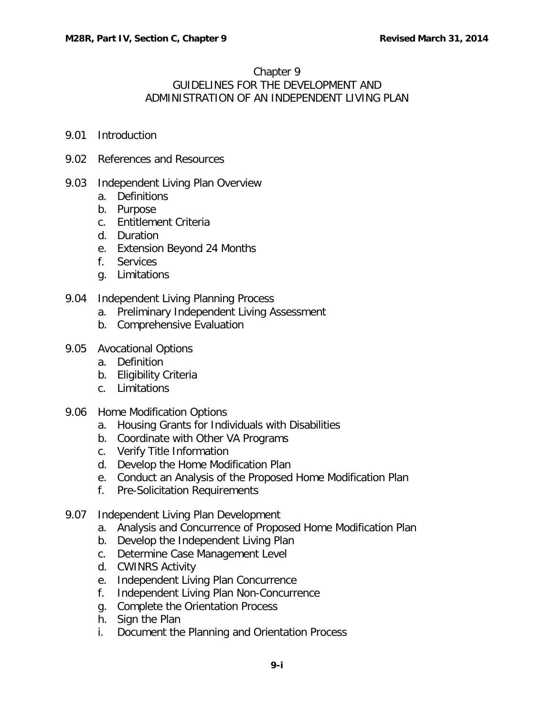# Chapter 9

# GUIDELINES FOR THE DEVELOPMENT AND ADMINISTRATION OF AN INDEPENDENT LIVING PLAN

- 9.01 [Introduction](#page-2-0)
- 9.02 [References and Resources](#page-2-1)

## 9.03 [Independent Living Plan Overview](#page-3-0)

- a. [Definitions](#page-4-0)
- b. [Purpose](#page-4-1)
- c. [Entitlement Criteria](#page-5-0)
- d. [Duration](#page-5-1)
- e. [Extension Beyond 24 Months](#page-5-2)
- f. [Services](#page-6-0)
- g. [Limitations](#page-8-0)
- 9.04 [Independent Living Planning Process](#page-10-0)
	- a. [Preliminary Independent Living Assessment](#page-10-1)
	- b. [Comprehensive Evaluation](#page-11-0)

## 9.05 [Avocational Options](#page-13-0)

- a. [Definition](#page-14-0)
- b. [Eligibility Criteria](#page-14-1)
- c. [Limitations](#page-15-0)
- 9.06 [Home Modification Options](#page-15-1)
	- a. [Housing Grants for Individuals with Disabilities](#page-15-2)
	- b. [Coordinate with Other VA Programs](#page-17-0)
	- c. [Verify Title Information](#page-17-1)
	- d. [Develop the Home Modification Plan](#page-19-0)
	- e. [Conduct an Analysis of the Proposed Home Modification Plan](#page-20-0)
	- f. [Pre-Solicitation Requirements](#page-21-0)
- 9.07 [Independent Living Plan Development](#page-22-0)
	- a. [Analysis and Concurrence of Proposed Home Modification Plan](#page-22-1)
	- b. [Develop the Independent Living Plan](#page-22-2)
	- c. [Determine Case Management Level](#page-25-0)
	- d. [CWINRS Activity](#page-25-1)
	- e. [Independent Living Plan Concurrence](#page-27-0)
	- f. [Independent Living Plan Non-Concurrence](#page-28-0)
	- g. [Complete the Orientation Process](#page-28-1)
	- h. [Sign the Plan](#page-29-0)
	- i. [Document the Planning and Orientation Process](#page-29-1)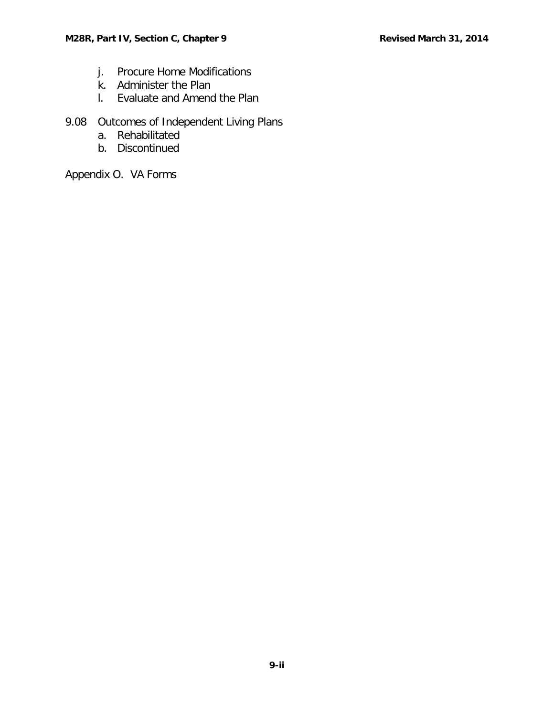- j. Procure [Home Modifications](#page-30-0)
- k. [Administer the Plan](#page-31-0)
- l. [Evaluate and Amend the Plan](#page-31-1)

# 9.08 [Outcomes of Independent Living Plans](#page-31-2)

- a. [Rehabilitated](#page-31-3)
- b. [Discontinued](#page-32-0)

Appendix O. VA Forms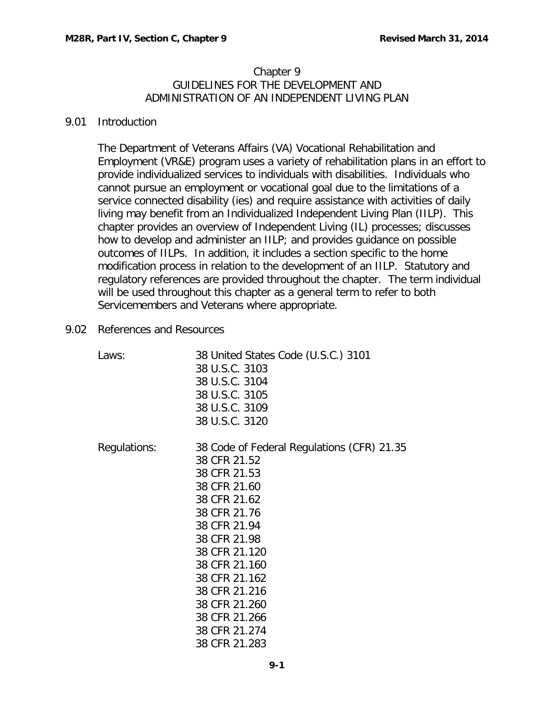#### Chapter 9 GUIDELINES FOR THE DEVELOPMENT AND ADMINISTRATION OF AN INDEPENDENT LIVING PLAN

#### <span id="page-2-0"></span>9.01 Introduction

The Department of Veterans Affairs (VA) Vocational Rehabilitation and Employment (VR&E) program uses a variety of rehabilitation plans in an effort to provide individualized services to individuals with disabilities. Individuals who cannot pursue an employment or vocational goal due to the limitations of a service connected disability (ies) and require assistance with activities of daily living may benefit from an Individualized Independent Living Plan (IILP). This chapter provides an overview of Independent Living (IL) processes; discusses how to develop and administer an IILP; and provides guidance on possible outcomes of IILPs. In addition, it includes a section specific to the home modification process in relation to the development of an IILP. Statutory and regulatory references are provided throughout the chapter. The term individual will be used throughout this chapter as a general term to refer to both Servicemembers and Veterans where appropriate.

<span id="page-2-1"></span>9.02 References and Resources

| Laws:        | 38 United States Code (U.S.C.) 3101        |
|--------------|--------------------------------------------|
|              | 38 U.S.C. 3103                             |
|              | 38 U.S.C. 3104                             |
|              | 38 U.S.C. 3105                             |
|              | 38 U.S.C. 3109                             |
|              | 38 U.S.C. 3120                             |
| Regulations: | 38 Code of Federal Regulations (CFR) 21.35 |
|              | 38 CFR 21.52                               |
|              | 38 CFR 21.53                               |
|              | 38 CFR 21.60                               |
|              | 38 CFR 21.62                               |
|              | 38 CFR 21.76                               |
|              | 38 CFR 21.94                               |
|              | 38 CFR 21.98                               |
|              | 38 CFR 21.120                              |
|              | 38 CFR 21.160                              |
|              | 38 CFR 21.162                              |
|              | 38 CFR 21.216                              |
|              | 38 CFR 21.260                              |
|              | 38 CFR 21.266                              |
|              | 38 CFR 21.274                              |
|              | 38 CFR 21.283                              |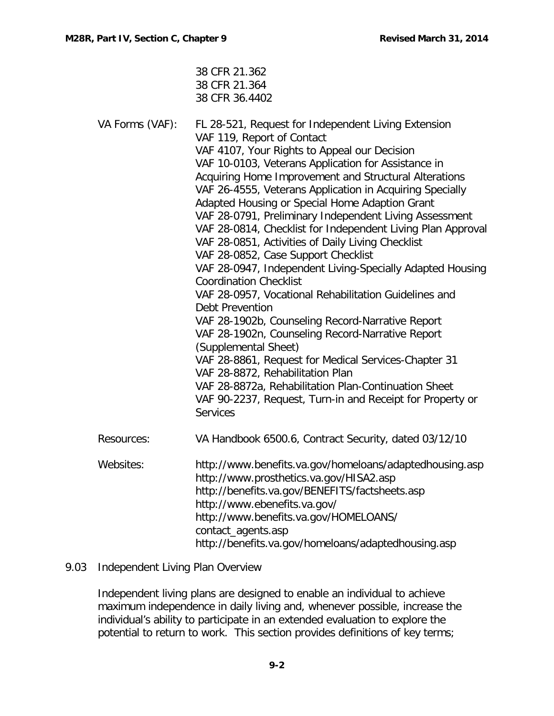|                 | 38 CFR 21.362<br>38 CFR 21.364<br>38 CFR 36.4402                                                                                                                                                                                                                                                                                                                                                                                                                                                                                                                                                                                                                                                                                                                                                                                                                                                                                                                                                                                                                                                                                          |
|-----------------|-------------------------------------------------------------------------------------------------------------------------------------------------------------------------------------------------------------------------------------------------------------------------------------------------------------------------------------------------------------------------------------------------------------------------------------------------------------------------------------------------------------------------------------------------------------------------------------------------------------------------------------------------------------------------------------------------------------------------------------------------------------------------------------------------------------------------------------------------------------------------------------------------------------------------------------------------------------------------------------------------------------------------------------------------------------------------------------------------------------------------------------------|
| VA Forms (VAF): | FL 28-521, Request for Independent Living Extension<br>VAF 119, Report of Contact<br>VAF 4107, Your Rights to Appeal our Decision<br>VAF 10-0103, Veterans Application for Assistance in<br>Acquiring Home Improvement and Structural Alterations<br>VAF 26-4555, Veterans Application in Acquiring Specially<br>Adapted Housing or Special Home Adaption Grant<br>VAF 28-0791, Preliminary Independent Living Assessment<br>VAF 28-0814, Checklist for Independent Living Plan Approval<br>VAF 28-0851, Activities of Daily Living Checklist<br>VAF 28-0852, Case Support Checklist<br>VAF 28-0947, Independent Living-Specially Adapted Housing<br><b>Coordination Checklist</b><br>VAF 28-0957, Vocational Rehabilitation Guidelines and<br><b>Debt Prevention</b><br>VAF 28-1902b, Counseling Record-Narrative Report<br>VAF 28-1902n, Counseling Record-Narrative Report<br>(Supplemental Sheet)<br>VAF 28-8861, Request for Medical Services-Chapter 31<br>VAF 28-8872, Rehabilitation Plan<br>VAF 28-8872a, Rehabilitation Plan-Continuation Sheet<br>VAF 90-2237, Request, Turn-in and Receipt for Property or<br><b>Services</b> |
| Resources:      | VA Handbook 6500.6, Contract Security, dated 03/12/10                                                                                                                                                                                                                                                                                                                                                                                                                                                                                                                                                                                                                                                                                                                                                                                                                                                                                                                                                                                                                                                                                     |
| Websites:       | http://www.benefits.va.gov/homeloans/adaptedhousing.asp<br>http://www.prosthetics.va.gov/HISA2.asp<br>http://benefits.va.gov/BENEFITS/factsheets.asp<br>http://www.ebenefits.va.gov/<br>http://www.benefits.va.gov/HOMELOANS/<br>contact_agents.asp<br>http://benefits.va.gov/homeloans/adaptedhousing.asp                                                                                                                                                                                                                                                                                                                                                                                                                                                                                                                                                                                                                                                                                                                                                                                                                                |

# <span id="page-3-0"></span>9.03 Independent Living Plan Overview

Independent living plans are designed to enable an individual to achieve maximum independence in daily living and, whenever possible, increase the individual's ability to participate in an extended evaluation to explore the potential to return to work. This section provides definitions of key terms;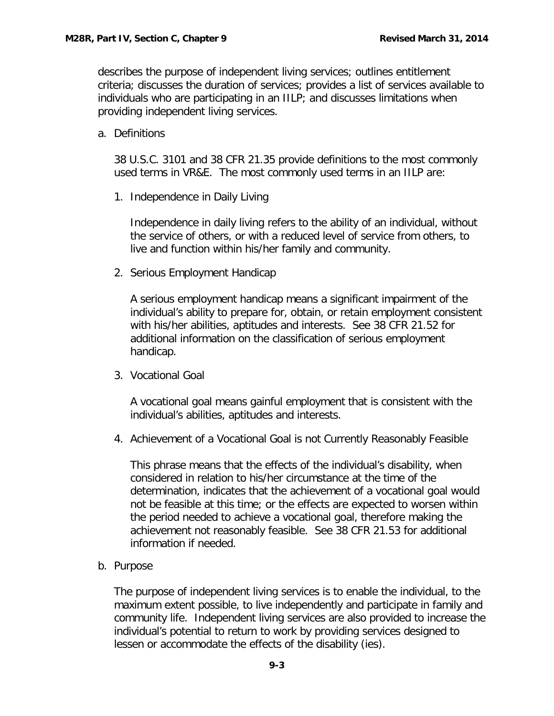describes the purpose of independent living services; outlines entitlement criteria; discusses the duration of services; provides a list of services available to individuals who are participating in an IILP; and discusses limitations when providing independent living services.

<span id="page-4-0"></span>a. Definitions

38 U.S.C. 3101 and 38 CFR 21.35 provide definitions to the most commonly used terms in VR&E. The most commonly used terms in an IILP are:

1. Independence in Daily Living

Independence in daily living refers to the ability of an individual, without the service of others, or with a reduced level of service from others, to live and function within his/her family and community.

2. Serious Employment Handicap

A serious employment handicap means a significant impairment of the individual's ability to prepare for, obtain, or retain employment consistent with his/her abilities, aptitudes and interests. See 38 CFR 21.52 for additional information on the classification of serious employment handicap.

3. Vocational Goal

A vocational goal means gainful employment that is consistent with the individual's abilities, aptitudes and interests.

4. Achievement of a Vocational Goal is not Currently Reasonably Feasible

This phrase means that the effects of the individual's disability, when considered in relation to his/her circumstance at the time of the determination, indicates that the achievement of a vocational goal would not be feasible at this time; or the effects are expected to worsen within the period needed to achieve a vocational goal, therefore making the achievement not reasonably feasible. See 38 CFR 21.53 for additional information if needed.

<span id="page-4-1"></span>b. Purpose

The purpose of independent living services is to enable the individual, to the maximum extent possible, to live independently and participate in family and community life. Independent living services are also provided to increase the individual's potential to return to work by providing services designed to lessen or accommodate the effects of the disability (ies).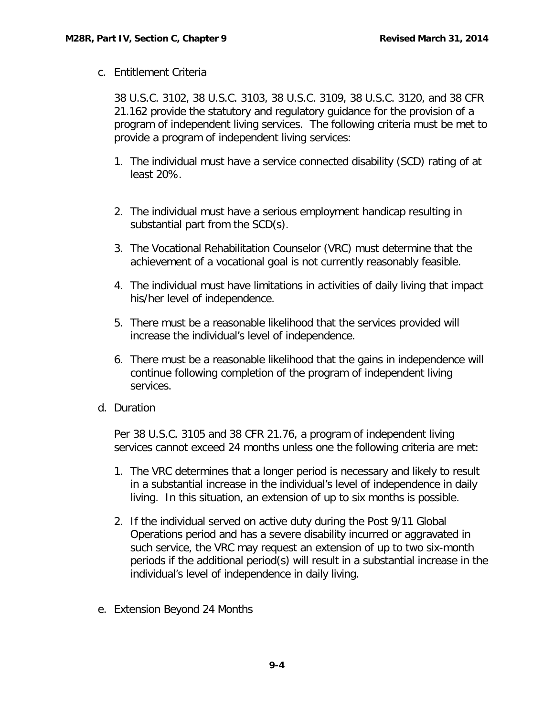<span id="page-5-0"></span>c. Entitlement Criteria

38 U.S.C. 3102, 38 U.S.C. 3103, 38 U.S.C. 3109, 38 U.S.C. 3120, and 38 CFR 21.162 provide the statutory and regulatory guidance for the provision of a program of independent living services. The following criteria must be met to provide a program of independent living services:

- 1. The individual must have a service connected disability (SCD) rating of at least 20%.
- 2. The individual must have a serious employment handicap resulting in substantial part from the SCD(s).
- 3. The Vocational Rehabilitation Counselor (VRC) must determine that the achievement of a vocational goal is not currently reasonably feasible.
- 4. The individual must have limitations in activities of daily living that impact his/her level of independence.
- 5. There must be a reasonable likelihood that the services provided will increase the individual's level of independence.
- 6. There must be a reasonable likelihood that the gains in independence will continue following completion of the program of independent living services.
- <span id="page-5-1"></span>d. Duration

Per 38 U.S.C. 3105 and 38 CFR 21.76, a program of independent living services cannot exceed 24 months unless one the following criteria are met:

- 1. The VRC determines that a longer period is necessary and likely to result in a substantial increase in the individual's level of independence in daily living. In this situation, an extension of up to six months is possible.
- 2. If the individual served on active duty during the Post 9/11 Global Operations period and has a severe disability incurred or aggravated in such service, the VRC may request an extension of up to two six-month periods if the additional period(s) will result in a substantial increase in the individual's level of independence in daily living.
- <span id="page-5-2"></span>e. Extension Beyond 24 Months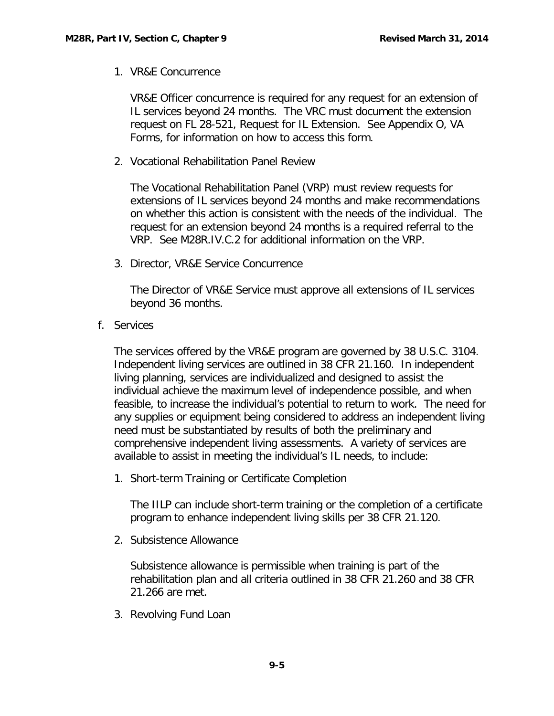1. VR&E Concurrence

VR&E Officer concurrence is required for any request for an extension of IL services beyond 24 months. The VRC must document the extension request on FL 28-521, Request for IL Extension. See Appendix O, VA Forms, for information on how to access this form.

2. Vocational Rehabilitation Panel Review

The Vocational Rehabilitation Panel (VRP) must review requests for extensions of IL services beyond 24 months and make recommendations on whether this action is consistent with the needs of the individual. The request for an extension beyond 24 months is a required referral to the VRP. See M28R.IV.C.2 for additional information on the VRP.

3. Director, VR&E Service Concurrence

The Director of VR&E Service must approve all extensions of IL services beyond 36 months.

<span id="page-6-0"></span>f. Services

The services offered by the VR&E program are governed by 38 U.S.C. 3104. Independent living services are outlined in 38 CFR 21.160. In independent living planning, services are individualized and designed to assist the individual achieve the maximum level of independence possible, and when feasible, to increase the individual's potential to return to work. The need for any supplies or equipment being considered to address an independent living need must be substantiated by results of both the preliminary and comprehensive independent living assessments. A variety of services are available to assist in meeting the individual's IL needs, to include:

1. Short-term Training or Certificate Completion

The IILP can include short-term training or the completion of a certificate program to enhance independent living skills per 38 CFR 21.120.

2. Subsistence Allowance

Subsistence allowance is permissible when training is part of the rehabilitation plan and all criteria outlined in 38 CFR 21.260 and 38 CFR 21.266 are met.

3. Revolving Fund Loan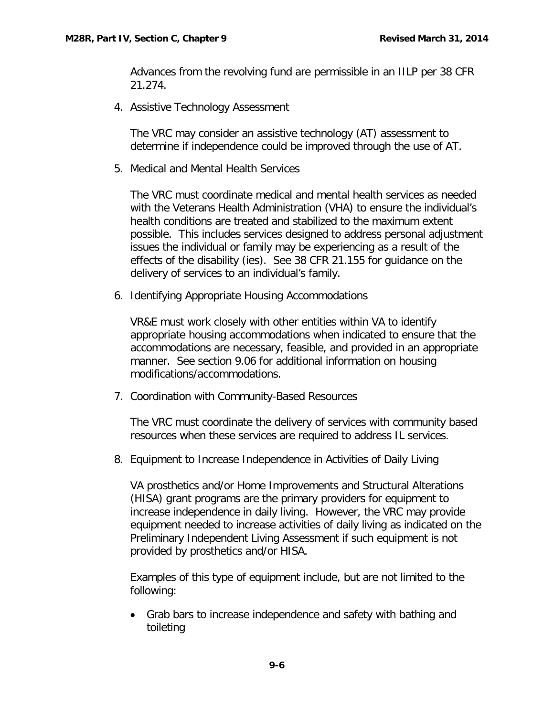Advances from the revolving fund are permissible in an IILP per 38 CFR 21.274.

4. Assistive Technology Assessment

The VRC may consider an assistive technology (AT) assessment to determine if independence could be improved through the use of AT.

5. Medical and Mental Health Services

The VRC must coordinate medical and mental health services as needed with the Veterans Health Administration (VHA) to ensure the individual's health conditions are treated and stabilized to the maximum extent possible. This includes services designed to address personal adjustment issues the individual or family may be experiencing as a result of the effects of the disability (ies). See 38 CFR 21.155 for guidance on the delivery of services to an individual's family.

6. Identifying Appropriate Housing Accommodations

VR&E must work closely with other entities within VA to identify appropriate housing accommodations when indicated to ensure that the accommodations are necessary, feasible, and provided in an appropriate manner. See section 9.06 for additional information on housing modifications/accommodations.

7. Coordination with Community-Based Resources

The VRC must coordinate the delivery of services with community based resources when these services are required to address IL services.

8. Equipment to Increase Independence in Activities of Daily Living

VA prosthetics and/or Home Improvements and Structural Alterations (HISA) grant programs are the primary providers for equipment to increase independence in daily living. However, the VRC may provide equipment needed to increase activities of daily living as indicated on the Preliminary Independent Living Assessment if such equipment is not provided by prosthetics and/or HISA.

Examples of this type of equipment include, but are not limited to the following:

• Grab bars to increase independence and safety with bathing and toileting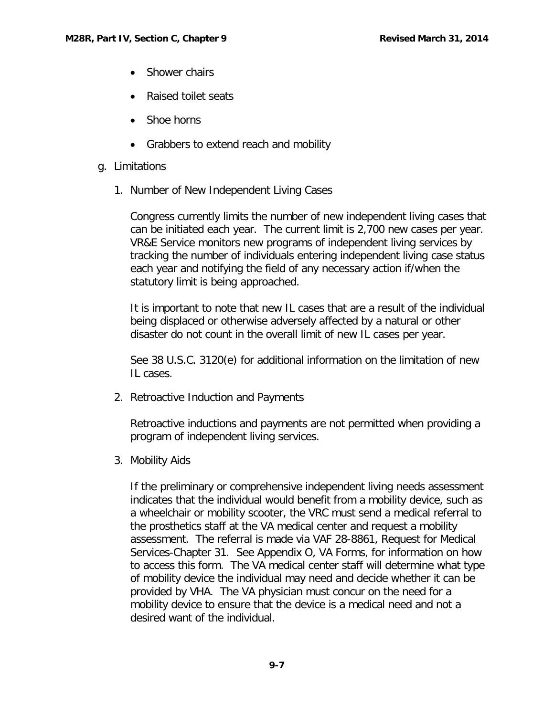- Shower chairs
- Raised toilet seats
- Shoe horns
- Grabbers to extend reach and mobility
- <span id="page-8-0"></span>g. Limitations
	- 1. Number of New Independent Living Cases

Congress currently limits the number of new independent living cases that can be initiated each year. The current limit is 2,700 new cases per year. VR&E Service monitors new programs of independent living services by tracking the number of individuals entering independent living case status each year and notifying the field of any necessary action if/when the statutory limit is being approached.

It is important to note that new IL cases that are a result of the individual being displaced or otherwise adversely affected by a natural or other disaster do not count in the overall limit of new IL cases per year.

See 38 U.S.C. 3120(e) for additional information on the limitation of new IL cases.

2. Retroactive Induction and Payments

Retroactive inductions and payments are not permitted when providing a program of independent living services.

3. Mobility Aids

If the preliminary or comprehensive independent living needs assessment indicates that the individual would benefit from a mobility device, such as a wheelchair or mobility scooter, the VRC must send a medical referral to the prosthetics staff at the VA medical center and request a mobility assessment. The referral is made via VAF 28-8861, Request for Medical Services-Chapter 31. See Appendix O, VA Forms, for information on how to access this form. The VA medical center staff will determine what type of mobility device the individual may need and decide whether it can be provided by VHA. The VA physician must concur on the need for a mobility device to ensure that the device is a medical need and not a desired want of the individual.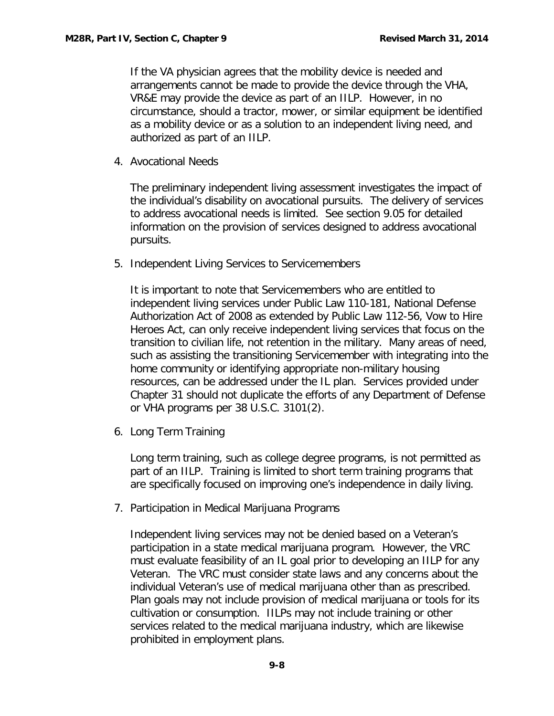If the VA physician agrees that the mobility device is needed and arrangements cannot be made to provide the device through the VHA, VR&E may provide the device as part of an IILP. However, in no circumstance, should a tractor, mower, or similar equipment be identified as a mobility device or as a solution to an independent living need, and authorized as part of an IILP.

4. Avocational Needs

The preliminary independent living assessment investigates the impact of the individual's disability on avocational pursuits. The delivery of services to address avocational needs is limited. See section 9.05 for detailed information on the provision of services designed to address avocational pursuits.

5. Independent Living Services to Servicemembers

It is important to note that Servicemembers who are entitled to independent living services under Public Law 110-181, National Defense Authorization Act of 2008 as extended by Public Law 112-56, Vow to Hire Heroes Act, can only receive independent living services that focus on the transition to civilian life, not retention in the military. Many areas of need, such as assisting the transitioning Servicemember with integrating into the home community or identifying appropriate non-military housing resources, can be addressed under the IL plan. Services provided under Chapter 31 should not duplicate the efforts of any Department of Defense or VHA programs per 38 U.S.C. 3101(2).

6. Long Term Training

Long term training, such as college degree programs, is not permitted as part of an IILP. Training is limited to short term training programs that are specifically focused on improving one's independence in daily living.

7. Participation in Medical Marijuana Programs

Independent living services may not be denied based on a Veteran's participation in a state medical marijuana program. However, the VRC must evaluate feasibility of an IL goal prior to developing an IILP for any Veteran. The VRC must consider state laws and any concerns about the individual Veteran's use of medical marijuana other than as prescribed. Plan goals may not include provision of medical marijuana or tools for its cultivation or consumption. IILPs may not include training or other services related to the medical marijuana industry, which are likewise prohibited in employment plans.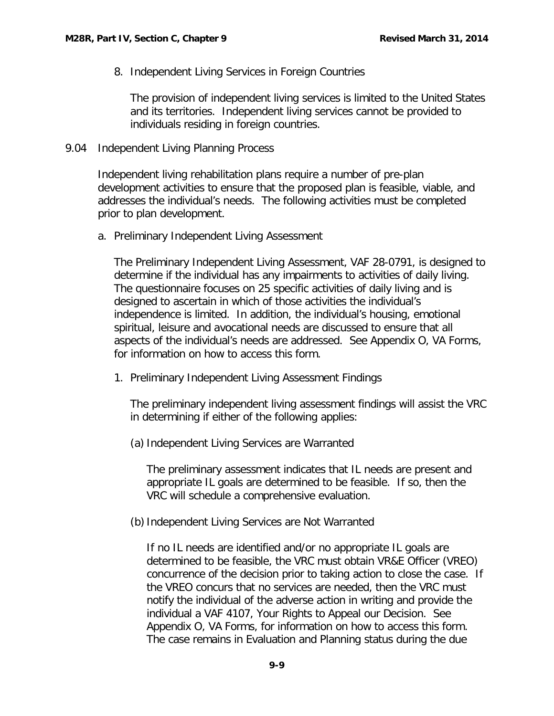8. Independent Living Services in Foreign Countries

The provision of independent living services is limited to the United States and its territories. Independent living services cannot be provided to individuals residing in foreign countries.

<span id="page-10-0"></span>9.04 Independent Living Planning Process

Independent living rehabilitation plans require a number of pre-plan development activities to ensure that the proposed plan is feasible, viable, and addresses the individual's needs. The following activities must be completed prior to plan development.

<span id="page-10-1"></span>a. Preliminary Independent Living Assessment

The Preliminary Independent Living Assessment, VAF 28-0791, is designed to determine if the individual has any impairments to activities of daily living. The questionnaire focuses on 25 specific activities of daily living and is designed to ascertain in which of those activities the individual's independence is limited. In addition, the individual's housing, emotional spiritual, leisure and avocational needs are discussed to ensure that all aspects of the individual's needs are addressed. See Appendix O, VA Forms, for information on how to access this form.

1. Preliminary Independent Living Assessment Findings

The preliminary independent living assessment findings will assist the VRC in determining if either of the following applies:

(a) Independent Living Services are Warranted

The preliminary assessment indicates that IL needs are present and appropriate IL goals are determined to be feasible. If so, then the VRC will schedule a comprehensive evaluation.

(b)Independent Living Services are Not Warranted

If no IL needs are identified and/or no appropriate IL goals are determined to be feasible, the VRC must obtain VR&E Officer (VREO) concurrence of the decision prior to taking action to close the case. If the VREO concurs that no services are needed, then the VRC must notify the individual of the adverse action in writing and provide the individual a VAF 4107, Your Rights to Appeal our Decision. See Appendix O, VA Forms, for information on how to access this form. The case remains in Evaluation and Planning status during the due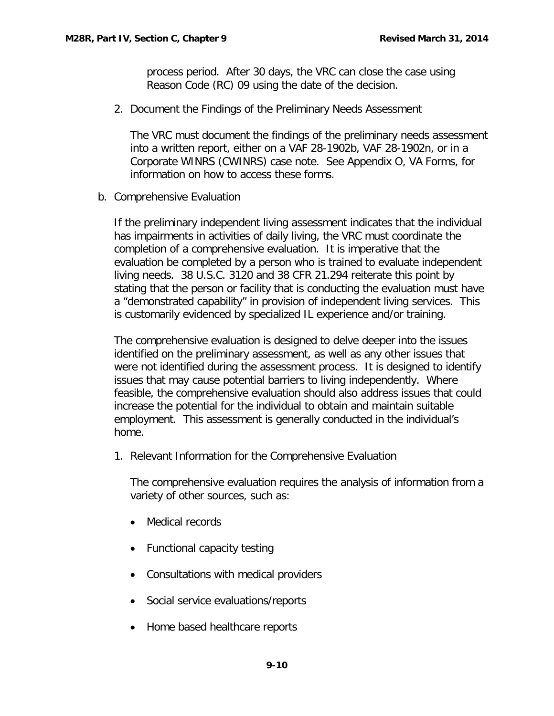process period. After 30 days, the VRC can close the case using Reason Code (RC) 09 using the date of the decision.

2. Document the Findings of the Preliminary Needs Assessment

The VRC must document the findings of the preliminary needs assessment into a written report, either on a VAF 28-1902b, VAF 28-1902n, or in a Corporate WINRS (CWINRS) case note. See Appendix O, VA Forms, for information on how to access these forms.

<span id="page-11-0"></span>b. Comprehensive Evaluation

If the preliminary independent living assessment indicates that the individual has impairments in activities of daily living, the VRC must coordinate the completion of a comprehensive evaluation. It is imperative that the evaluation be completed by a person who is trained to evaluate independent living needs. 38 U.S.C. 3120 and 38 CFR 21.294 reiterate this point by stating that the person or facility that is conducting the evaluation must have a "demonstrated capability" in provision of independent living services. This is customarily evidenced by specialized IL experience and/or training.

The comprehensive evaluation is designed to delve deeper into the issues identified on the preliminary assessment, as well as any other issues that were not identified during the assessment process. It is designed to identify issues that may cause potential barriers to living independently. Where feasible, the comprehensive evaluation should also address issues that could increase the potential for the individual to obtain and maintain suitable employment. This assessment is generally conducted in the individual's home.

1. Relevant Information for the Comprehensive Evaluation

The comprehensive evaluation requires the analysis of information from a variety of other sources, such as:

- Medical records
- Functional capacity testing
- Consultations with medical providers
- Social service evaluations/reports
- Home based healthcare reports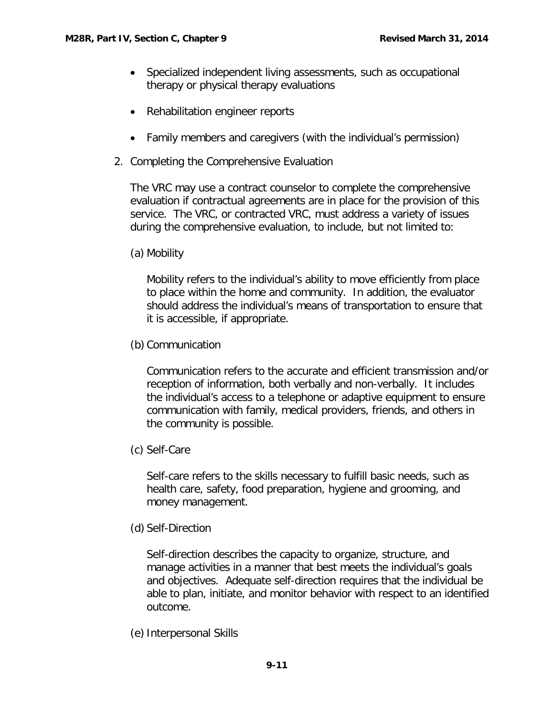- Specialized independent living assessments, such as occupational therapy or physical therapy evaluations
- Rehabilitation engineer reports
- Family members and caregivers (with the individual's permission)
- 2. Completing the Comprehensive Evaluation

The VRC may use a contract counselor to complete the comprehensive evaluation if contractual agreements are in place for the provision of this service. The VRC, or contracted VRC, must address a variety of issues during the comprehensive evaluation, to include, but not limited to:

(a) Mobility

Mobility refers to the individual's ability to move efficiently from place to place within the home and community. In addition, the evaluator should address the individual's means of transportation to ensure that it is accessible, if appropriate.

(b) Communication

Communication refers to the accurate and efficient transmission and/or reception of information, both verbally and non-verbally. It includes the individual's access to a telephone or adaptive equipment to ensure communication with family, medical providers, friends, and others in the community is possible.

(c) Self-Care

Self-care refers to the skills necessary to fulfill basic needs, such as health care, safety, food preparation, hygiene and grooming, and money management.

(d) Self-Direction

Self-direction describes the capacity to organize, structure, and manage activities in a manner that best meets the individual's goals and objectives. Adequate self-direction requires that the individual be able to plan, initiate, and monitor behavior with respect to an identified outcome.

(e) Interpersonal Skills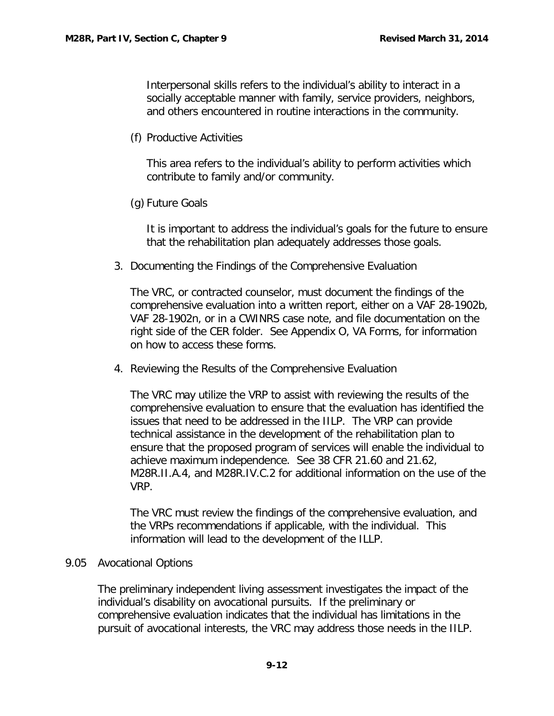Interpersonal skills refers to the individual's ability to interact in a socially acceptable manner with family, service providers, neighbors, and others encountered in routine interactions in the community.

(f) Productive Activities

This area refers to the individual's ability to perform activities which contribute to family and/or community.

(g) Future Goals

It is important to address the individual's goals for the future to ensure that the rehabilitation plan adequately addresses those goals.

3. Documenting the Findings of the Comprehensive Evaluation

The VRC, or contracted counselor, must document the findings of the comprehensive evaluation into a written report, either on a VAF 28-1902b, VAF 28-1902n, or in a CWINRS case note, and file documentation on the right side of the CER folder. See Appendix O, VA Forms, for information on how to access these forms.

4. Reviewing the Results of the Comprehensive Evaluation

The VRC may utilize the VRP to assist with reviewing the results of the comprehensive evaluation to ensure that the evaluation has identified the issues that need to be addressed in the IILP. The VRP can provide technical assistance in the development of the rehabilitation plan to ensure that the proposed program of services will enable the individual to achieve maximum independence. See 38 CFR 21.60 and 21.62, M28R.II.A.4, and M28R.IV.C.2 for additional information on the use of the VRP.

The VRC must review the findings of the comprehensive evaluation, and the VRPs recommendations if applicable, with the individual. This information will lead to the development of the ILLP.

#### <span id="page-13-0"></span>9.05 Avocational Options

The preliminary independent living assessment investigates the impact of the individual's disability on avocational pursuits. If the preliminary or comprehensive evaluation indicates that the individual has limitations in the pursuit of avocational interests, the VRC may address those needs in the IILP.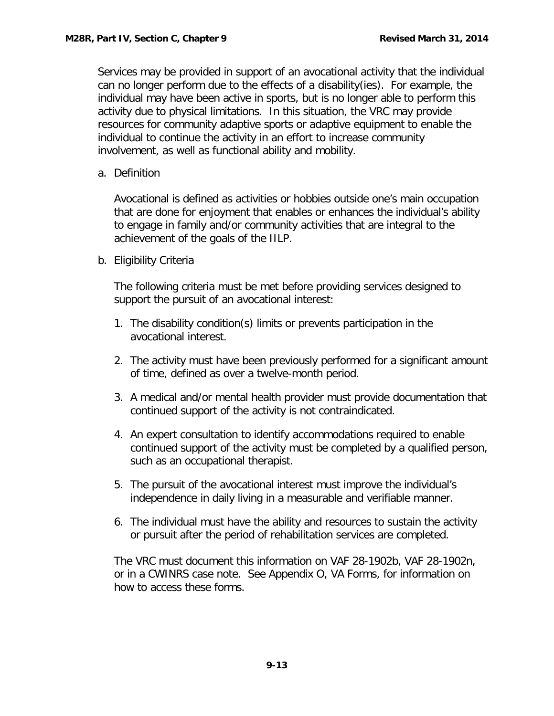Services may be provided in support of an avocational activity that the individual can no longer perform due to the effects of a disability(ies). For example, the individual may have been active in sports, but is no longer able to perform this activity due to physical limitations. In this situation, the VRC may provide resources for community adaptive sports or adaptive equipment to enable the individual to continue the activity in an effort to increase community involvement, as well as functional ability and mobility.

<span id="page-14-0"></span>a. Definition

Avocational is defined as activities or hobbies outside one's main occupation that are done for enjoyment that enables or enhances the individual's ability to engage in family and/or community activities that are integral to the achievement of the goals of the IILP.

<span id="page-14-1"></span>b. Eligibility Criteria

The following criteria must be met before providing services designed to support the pursuit of an avocational interest:

- 1. The disability condition(s) limits or prevents participation in the avocational interest.
- 2. The activity must have been previously performed for a significant amount of time, defined as over a twelve-month period.
- 3. A medical and/or mental health provider must provide documentation that continued support of the activity is not contraindicated.
- 4. An expert consultation to identify accommodations required to enable continued support of the activity must be completed by a qualified person, such as an occupational therapist.
- 5. The pursuit of the avocational interest must improve the individual's independence in daily living in a measurable and verifiable manner.
- 6. The individual must have the ability and resources to sustain the activity or pursuit after the period of rehabilitation services are completed.

The VRC must document this information on VAF 28-1902b, VAF 28-1902n, or in a CWINRS case note. See Appendix O, VA Forms, for information on how to access these forms.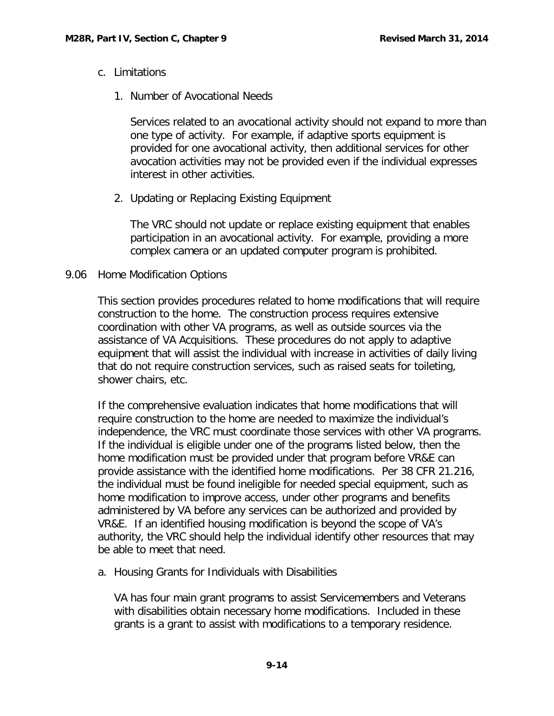- <span id="page-15-0"></span>c. Limitations
	- 1. Number of Avocational Needs

Services related to an avocational activity should not expand to more than one type of activity. For example, if adaptive sports equipment is provided for one avocational activity, then additional services for other avocation activities may not be provided even if the individual expresses interest in other activities.

2. Updating or Replacing Existing Equipment

The VRC should not update or replace existing equipment that enables participation in an avocational activity. For example, providing a more complex camera or an updated computer program is prohibited.

## <span id="page-15-1"></span>9.06 Home Modification Options

This section provides procedures related to home modifications that will require construction to the home. The construction process requires extensive coordination with other VA programs, as well as outside sources via the assistance of VA Acquisitions. These procedures do not apply to adaptive equipment that will assist the individual with increase in activities of daily living that do not require construction services, such as raised seats for toileting, shower chairs, etc.

If the comprehensive evaluation indicates that home modifications that will require construction to the home are needed to maximize the individual's independence, the VRC must coordinate those services with other VA programs. If the individual is eligible under one of the programs listed below, then the home modification must be provided under that program before VR&E can provide assistance with the identified home modifications. Per 38 CFR 21.216, the individual must be found ineligible for needed special equipment, such as home modification to improve access, under other programs and benefits administered by VA before any services can be authorized and provided by VR&E. If an identified housing modification is beyond the scope of VA's authority, the VRC should help the individual identify other resources that may be able to meet that need.

<span id="page-15-2"></span>a. Housing Grants for Individuals with Disabilities

VA has four main grant programs to assist Servicemembers and Veterans with disabilities obtain necessary home modifications. Included in these grants is a grant to assist with modifications to a temporary residence.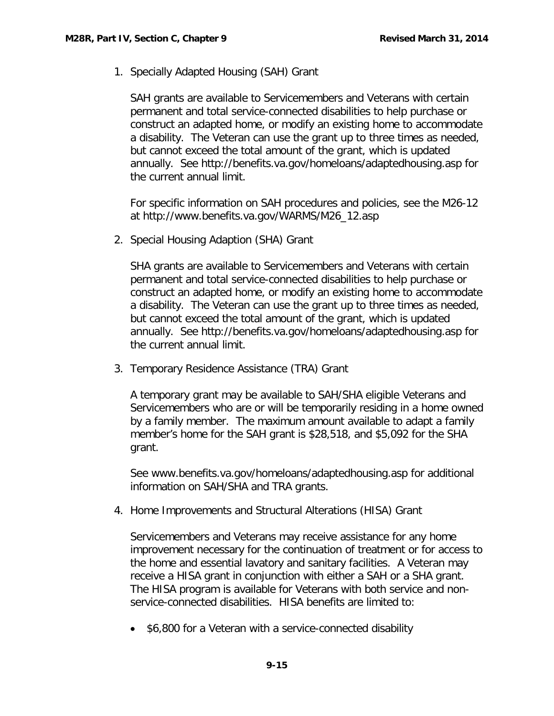1. Specially Adapted Housing (SAH) Grant

SAH grants are available to Servicemembers and Veterans with certain permanent and total service-connected disabilities to help purchase or construct an adapted home, or modify an existing home to accommodate a disability. The Veteran can use the grant up to three times as needed, but cannot exceed the total amount of the grant, which is updated annually. See<http://benefits.va.gov/homeloans/adaptedhousing.asp> for the current annual limit.

For specific information on SAH procedures and policies, see the M26-12 at [http://www.benefits.va.gov/WARMS/M26\\_12.asp](http://www.benefits.va.gov/WARMS/M26_12.asp)

2. Special Housing Adaption (SHA) Grant

SHA grants are available to Servicemembers and Veterans with certain permanent and total service-connected disabilities to help purchase or construct an adapted home, or modify an existing home to accommodate a disability. The Veteran can use the grant up to three times as needed, but cannot exceed the total amount of the grant, which is updated annually. See<http://benefits.va.gov/homeloans/adaptedhousing.asp> for the current annual limit.

3. Temporary Residence Assistance (TRA) Grant

A temporary grant may be available to SAH/SHA eligible Veterans and Servicemembers who are or will be temporarily residing in a home owned by a family member. The maximum amount available to adapt a family member's home for the SAH grant is \$28,518, and \$5,092 for the SHA grant.

See [www.benefits.va.gov/homeloans/adaptedhousing.asp](http://www.benefits.va.gov/homeloans/adaptedhousing.asp) for additional information on SAH/SHA and TRA grants.

4. Home Improvements and Structural Alterations (HISA) Grant

Servicemembers and Veterans may receive assistance for any home improvement necessary for the continuation of treatment or for access to the home and essential lavatory and sanitary facilities. A Veteran may receive a HISA grant in conjunction with either a SAH or a SHA grant. The HISA program is available for Veterans with both service and nonservice-connected disabilities. HISA benefits are limited to:

• \$6,800 for a Veteran with a service-connected disability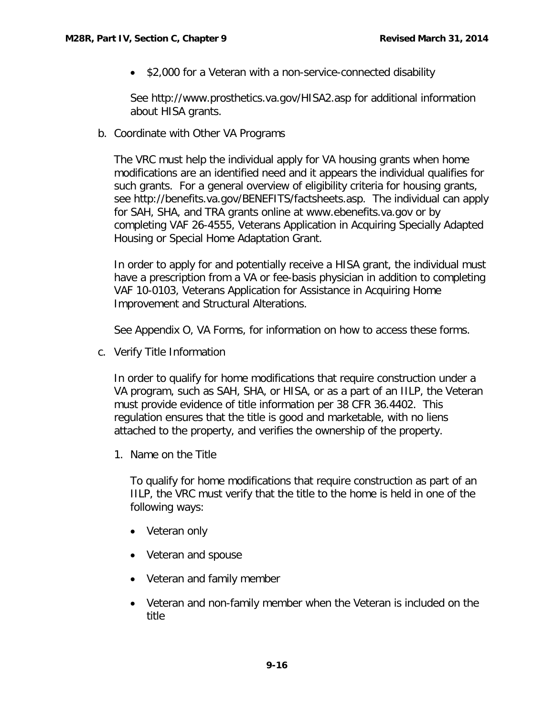• \$2,000 for a Veteran with a non-service-connected disability

See<http://www.prosthetics.va.gov/HISA2.asp> for additional information about HISA grants.

<span id="page-17-0"></span>b. Coordinate with Other VA Programs

The VRC must help the individual apply for VA housing grants when home modifications are an identified need and it appears the individual qualifies for such grants. For a general overview of eligibility criteria for housing grants, see [http://benefits.va.gov/BENEFITS/factsheets.asp.](http://benefits.va.gov/BENEFITS/factsheets.asp) The individual can apply for SAH, SHA, and TRA grants online at [www.ebenefits.va.gov](http://www.ebenefits.va.gov/) or by completing VAF 26-4555, Veterans Application in Acquiring Specially Adapted Housing or Special Home Adaptation Grant.

In order to apply for and potentially receive a HISA grant, the individual must have a prescription from a VA or fee-basis physician in addition to completing VAF 10-0103, Veterans Application for Assistance in Acquiring Home Improvement and Structural Alterations.

See Appendix O, VA Forms, for information on how to access these forms.

<span id="page-17-1"></span>c. Verify Title Information

In order to qualify for home modifications that require construction under a VA program, such as SAH, SHA, or HISA, or as a part of an IILP, the Veteran must provide evidence of title information per 38 CFR 36.4402. This regulation ensures that the title is good and marketable, with no liens attached to the property, and verifies the ownership of the property.

1. Name on the Title

To qualify for home modifications that require construction as part of an IILP, the VRC must verify that the title to the home is held in one of the following ways:

- Veteran only
- Veteran and spouse
- Veteran and family member
- Veteran and non-family member when the Veteran is included on the title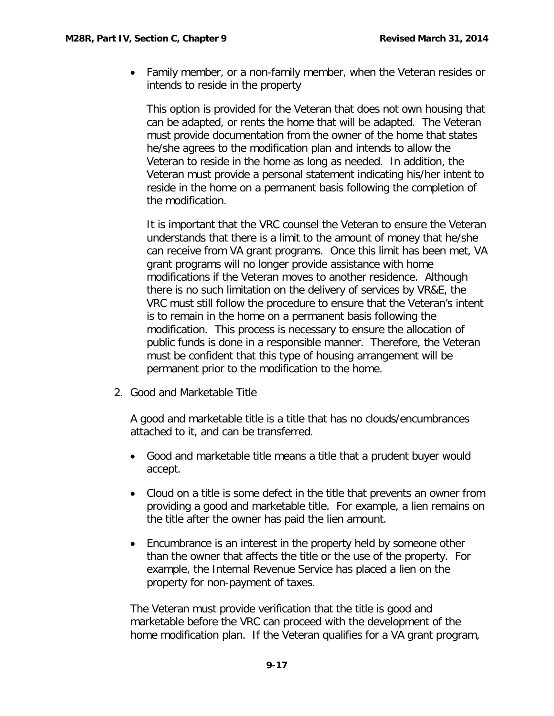• Family member, or a non-family member, when the Veteran resides or intends to reside in the property

This option is provided for the Veteran that does not own housing that can be adapted, or rents the home that will be adapted. The Veteran must provide documentation from the owner of the home that states he/she agrees to the modification plan and intends to allow the Veteran to reside in the home as long as needed. In addition, the Veteran must provide a personal statement indicating his/her intent to reside in the home on a permanent basis following the completion of the modification.

It is important that the VRC counsel the Veteran to ensure the Veteran understands that there is a limit to the amount of money that he/she can receive from VA grant programs. Once this limit has been met, VA grant programs will no longer provide assistance with home modifications if the Veteran moves to another residence. Although there is no such limitation on the delivery of services by VR&E, the VRC must still follow the procedure to ensure that the Veteran's intent is to remain in the home on a permanent basis following the modification. This process is necessary to ensure the allocation of public funds is done in a responsible manner. Therefore, the Veteran must be confident that this type of housing arrangement will be permanent prior to the modification to the home.

2. Good and Marketable Title

A good and marketable title is a title that has no clouds/encumbrances attached to it, and can be transferred.

- Good and marketable title means a title that a prudent buyer would accept.
- Cloud on a title is some defect in the title that prevents an owner from providing a good and marketable title. For example, a lien remains on the title after the owner has paid the lien amount.
- Encumbrance is an interest in the property held by someone other than the owner that affects the title or the use of the property. For example, the Internal Revenue Service has placed a lien on the property for non-payment of taxes.

The Veteran must provide verification that the title is good and marketable before the VRC can proceed with the development of the home modification plan. If the Veteran qualifies for a VA grant program,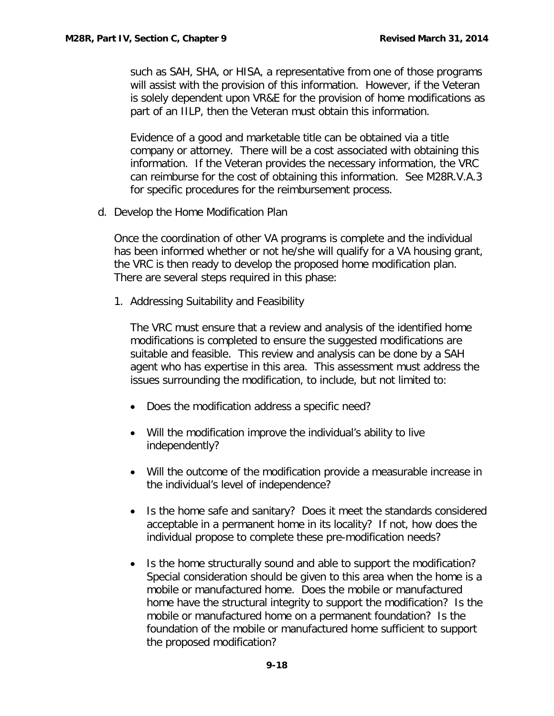such as SAH, SHA, or HISA, a representative from one of those programs will assist with the provision of this information. However, if the Veteran is solely dependent upon VR&E for the provision of home modifications as part of an IILP, then the Veteran must obtain this information.

Evidence of a good and marketable title can be obtained via a title company or attorney. There will be a cost associated with obtaining this information. If the Veteran provides the necessary information, the VRC can reimburse for the cost of obtaining this information. See M28R.V.A.3 for specific procedures for the reimbursement process.

<span id="page-19-0"></span>d. Develop the Home Modification Plan

Once the coordination of other VA programs is complete and the individual has been informed whether or not he/she will qualify for a VA housing grant, the VRC is then ready to develop the proposed home modification plan. There are several steps required in this phase:

1. Addressing Suitability and Feasibility

The VRC must ensure that a review and analysis of the identified home modifications is completed to ensure the suggested modifications are suitable and feasible. This review and analysis can be done by a SAH agent who has expertise in this area. This assessment must address the issues surrounding the modification, to include, but not limited to:

- Does the modification address a specific need?
- Will the modification improve the individual's ability to live independently?
- Will the outcome of the modification provide a measurable increase in the individual's level of independence?
- Is the home safe and sanitary? Does it meet the standards considered acceptable in a permanent home in its locality? If not, how does the individual propose to complete these pre-modification needs?
- Is the home structurally sound and able to support the modification? Special consideration should be given to this area when the home is a mobile or manufactured home. Does the mobile or manufactured home have the structural integrity to support the modification? Is the mobile or manufactured home on a permanent foundation? Is the foundation of the mobile or manufactured home sufficient to support the proposed modification?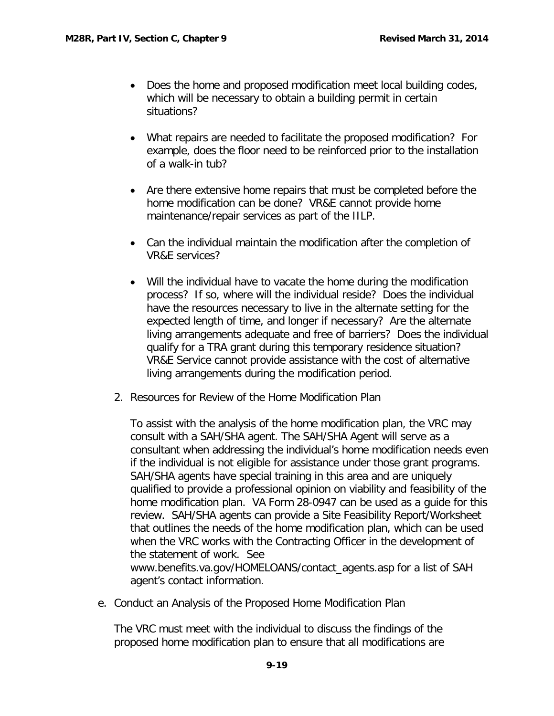- Does the home and proposed modification meet local building codes, which will be necessary to obtain a building permit in certain situations?
- What repairs are needed to facilitate the proposed modification? For example, does the floor need to be reinforced prior to the installation of a walk-in tub?
- Are there extensive home repairs that must be completed before the home modification can be done? VR&E cannot provide home maintenance/repair services as part of the IILP.
- Can the individual maintain the modification after the completion of VR&E services?
- Will the individual have to vacate the home during the modification process? If so, where will the individual reside? Does the individual have the resources necessary to live in the alternate setting for the expected length of time, and longer if necessary? Are the alternate living arrangements adequate and free of barriers? Does the individual qualify for a TRA grant during this temporary residence situation? VR&E Service cannot provide assistance with the cost of alternative living arrangements during the modification period.
- 2. Resources for Review of the Home Modification Plan

To assist with the analysis of the home modification plan, the VRC may consult with a SAH/SHA agent. The SAH/SHA Agent will serve as a consultant when addressing the individual's home modification needs even if the individual is not eligible for assistance under those grant programs. SAH/SHA agents have special training in this area and are uniquely qualified to provide a professional opinion on viability and feasibility of the home modification plan. VA Form 28-0947 can be used as a guide for this review. SAH/SHA agents can provide a Site Feasibility Report/Worksheet that outlines the needs of the home modification plan, which can be used when the VRC works with the Contracting Officer in the development of the statement of work. See [www.benefits.va.gov/HOMELOANS/contact\\_agents.asp](http://www.benefits.va.gov/HOMELOANS/contact_agents.asp) for a list of SAH agent's contact information.

<span id="page-20-0"></span>e. Conduct an Analysis of the Proposed Home Modification Plan

The VRC must meet with the individual to discuss the findings of the proposed home modification plan to ensure that all modifications are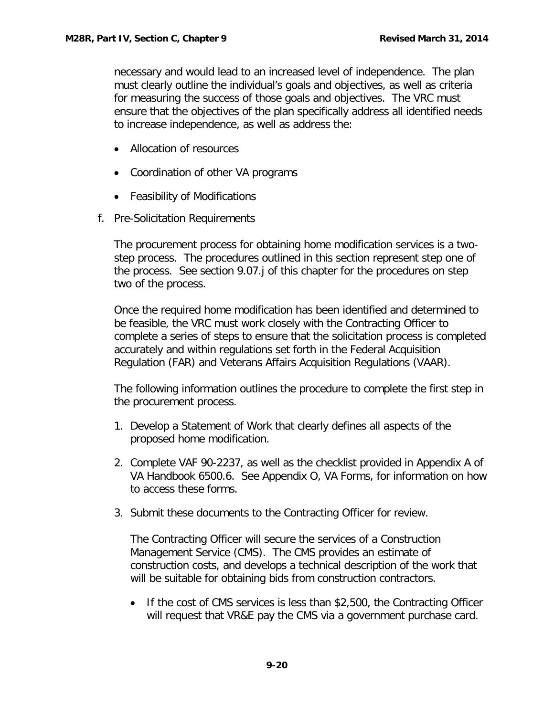necessary and would lead to an increased level of independence. The plan must clearly outline the individual's goals and objectives, as well as criteria for measuring the success of those goals and objectives. The VRC must ensure that the objectives of the plan specifically address all identified needs to increase independence, as well as address the:

- Allocation of resources
- Coordination of other VA programs
- Feasibility of Modifications
- <span id="page-21-0"></span>f. Pre-Solicitation Requirements

The procurement process for obtaining home modification services is a twostep process. The procedures outlined in this section represent step one of the process. See section 9.07.j of this chapter for the procedures on step two of the process.

Once the required home modification has been identified and determined to be feasible, the VRC must work closely with the Contracting Officer to complete a series of steps to ensure that the solicitation process is completed accurately and within regulations set forth in the Federal Acquisition Regulation (FAR) and Veterans Affairs Acquisition Regulations (VAAR).

The following information outlines the procedure to complete the first step in the procurement process.

- 1. Develop a Statement of Work that clearly defines all aspects of the proposed home modification.
- 2. Complete VAF 90-2237, as well as the checklist provided in Appendix A of VA Handbook 6500.6. See Appendix O, VA Forms, for information on how to access these forms.
- 3. Submit these documents to the Contracting Officer for review.

The Contracting Officer will secure the services of a Construction Management Service (CMS). The CMS provides an estimate of construction costs, and develops a technical description of the work that will be suitable for obtaining bids from construction contractors.

• If the cost of CMS services is less than \$2,500, the Contracting Officer will request that VR&E pay the CMS via a government purchase card.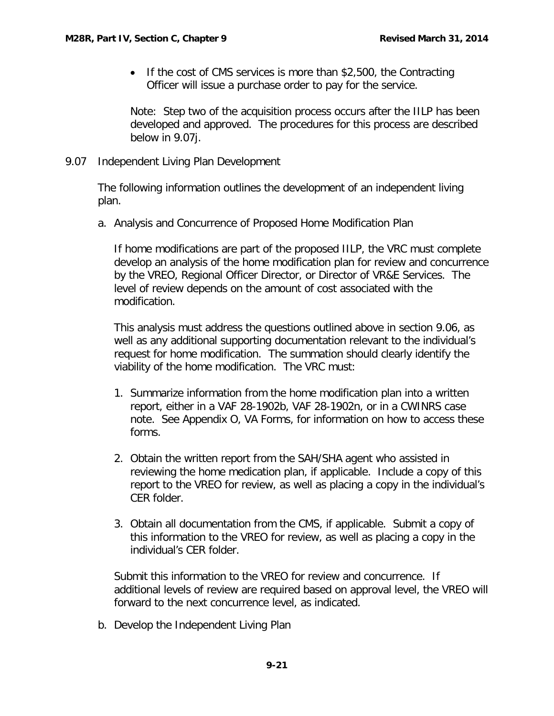• If the cost of CMS services is more than \$2,500, the Contracting Officer will issue a purchase order to pay for the service.

Note: Step two of the acquisition process occurs after the IILP has been developed and approved. The procedures for this process are described below in 9.07j.

<span id="page-22-0"></span>9.07 Independent Living Plan Development

The following information outlines the development of an independent living plan.

<span id="page-22-1"></span>a. Analysis and Concurrence of Proposed Home Modification Plan

If home modifications are part of the proposed IILP, the VRC must complete develop an analysis of the home modification plan for review and concurrence by the VREO, Regional Officer Director, or Director of VR&E Services. The level of review depends on the amount of cost associated with the modification.

This analysis must address the questions outlined above in section 9.06, as well as any additional supporting documentation relevant to the individual's request for home modification. The summation should clearly identify the viability of the home modification. The VRC must:

- 1. Summarize information from the home modification plan into a written report, either in a VAF 28-1902b, VAF 28-1902n, or in a CWINRS case note. See Appendix O, VA Forms, for information on how to access these forms.
- 2. Obtain the written report from the SAH/SHA agent who assisted in reviewing the home medication plan, if applicable. Include a copy of this report to the VREO for review, as well as placing a copy in the individual's CER folder.
- 3. Obtain all documentation from the CMS, if applicable. Submit a copy of this information to the VREO for review, as well as placing a copy in the individual's CER folder.

Submit this information to the VREO for review and concurrence. If additional levels of review are required based on approval level, the VREO will forward to the next concurrence level, as indicated.

<span id="page-22-2"></span>b. Develop the Independent Living Plan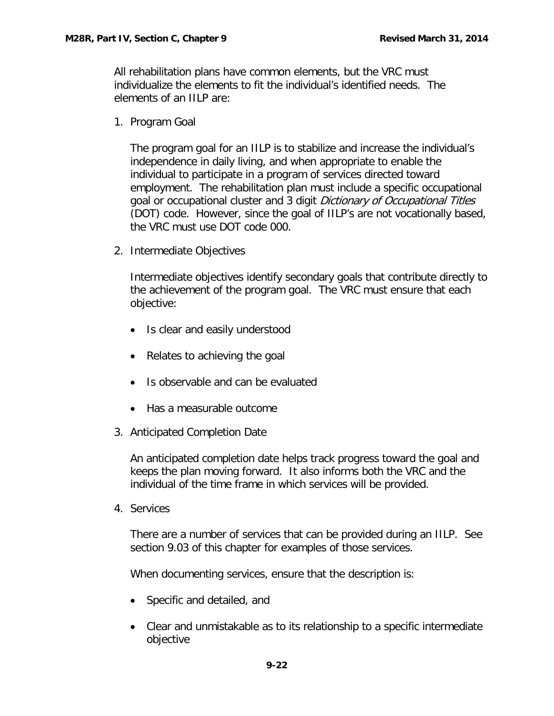All rehabilitation plans have common elements, but the VRC must individualize the elements to fit the individual's identified needs. The elements of an IILP are:

1. Program Goal

The program goal for an IILP is to stabilize and increase the individual's independence in daily living, and when appropriate to enable the individual to participate in a program of services directed toward employment. The rehabilitation plan must include a specific occupational goal or occupational cluster and 3 digit Dictionary of Occupational Titles (DOT) code. However, since the goal of IILP's are not vocationally based, the VRC must use DOT code 000.

2. Intermediate Objectives

Intermediate objectives identify secondary goals that contribute directly to the achievement of the program goal. The VRC must ensure that each objective:

- Is clear and easily understood
- Relates to achieving the goal
- Is observable and can be evaluated
- Has a measurable outcome
- 3. Anticipated Completion Date

An anticipated completion date helps track progress toward the goal and keeps the plan moving forward. It also informs both the VRC and the individual of the time frame in which services will be provided.

4. Services

There are a number of services that can be provided during an IILP. See section 9.03 of this chapter for examples of those services.

When documenting services, ensure that the description is:

- Specific and detailed, and
- Clear and unmistakable as to its relationship to a specific intermediate objective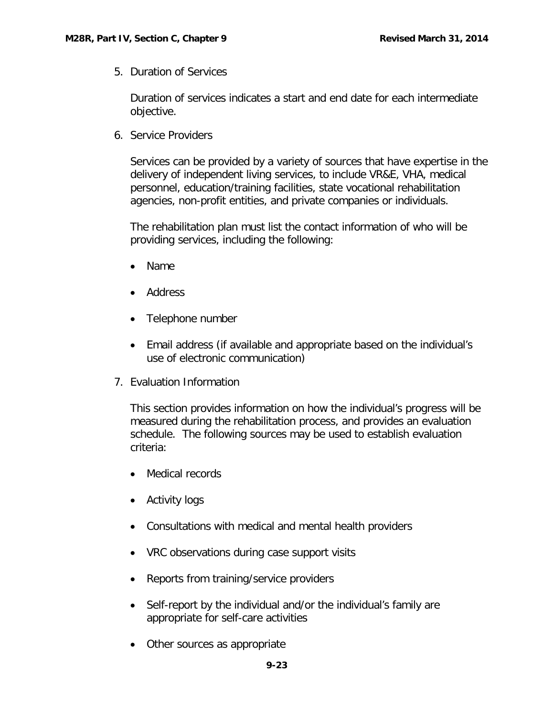5. Duration of Services

Duration of services indicates a start and end date for each intermediate objective.

6. Service Providers

Services can be provided by a variety of sources that have expertise in the delivery of independent living services, to include VR&E, VHA, medical personnel, education/training facilities, state vocational rehabilitation agencies, non-profit entities, and private companies or individuals.

The rehabilitation plan must list the contact information of who will be providing services, including the following:

- Name
- Address
- Telephone number
- Email address (if available and appropriate based on the individual's use of electronic communication)
- 7. Evaluation Information

This section provides information on how the individual's progress will be measured during the rehabilitation process, and provides an evaluation schedule. The following sources may be used to establish evaluation criteria:

- Medical records
- Activity logs
- Consultations with medical and mental health providers
- VRC observations during case support visits
- Reports from training/service providers
- Self-report by the individual and/or the individual's family are appropriate for self-care activities
- Other sources as appropriate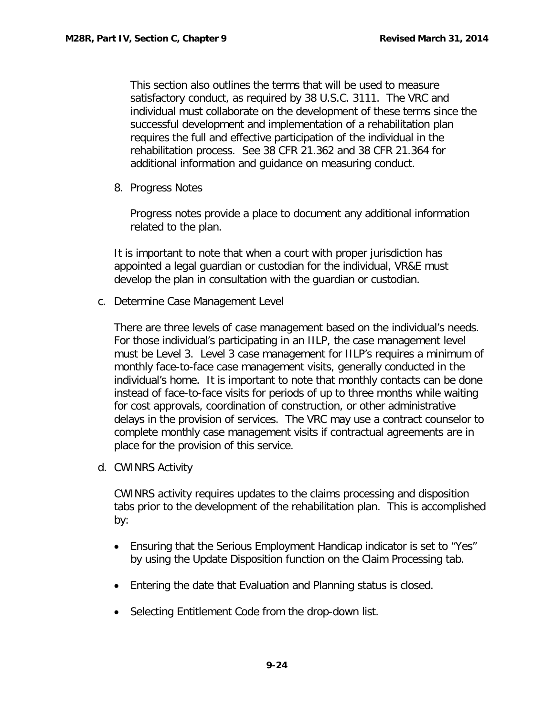This section also outlines the terms that will be used to measure satisfactory conduct, as required by 38 U.S.C. 3111. The VRC and individual must collaborate on the development of these terms since the successful development and implementation of a rehabilitation plan requires the full and effective participation of the individual in the rehabilitation process. See 38 CFR 21.362 and 38 CFR 21.364 for additional information and guidance on measuring conduct.

8. Progress Notes

Progress notes provide a place to document any additional information related to the plan.

It is important to note that when a court with proper jurisdiction has appointed a legal guardian or custodian for the individual, VR&E must develop the plan in consultation with the guardian or custodian.

<span id="page-25-0"></span>c. Determine Case Management Level

There are three levels of case management based on the individual's needs. For those individual's participating in an IILP, the case management level must be Level 3. Level 3 case management for IILP's requires a minimum of monthly face-to-face case management visits, generally conducted in the individual's home. It is important to note that monthly contacts can be done instead of face-to-face visits for periods of up to three months while waiting for cost approvals, coordination of construction, or other administrative delays in the provision of services. The VRC may use a contract counselor to complete monthly case management visits if contractual agreements are in place for the provision of this service.

<span id="page-25-1"></span>d. CWINRS Activity

CWINRS activity requires updates to the claims processing and disposition tabs prior to the development of the rehabilitation plan. This is accomplished by:

- Ensuring that the Serious Employment Handicap indicator is set to "Yes" by using the Update Disposition function on the Claim Processing tab.
- Entering the date that Evaluation and Planning status is closed.
- Selecting Entitlement Code from the drop-down list.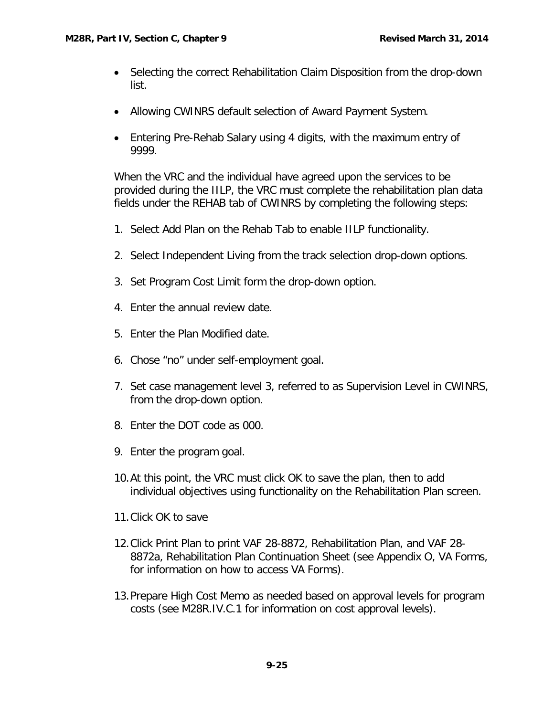- Selecting the correct Rehabilitation Claim Disposition from the drop-down list.
- Allowing CWINRS default selection of Award Payment System.
- Entering Pre-Rehab Salary using 4 digits, with the maximum entry of 9999.

When the VRC and the individual have agreed upon the services to be provided during the IILP, the VRC must complete the rehabilitation plan data fields under the REHAB tab of CWINRS by completing the following steps:

- 1. Select Add Plan on the Rehab Tab to enable IILP functionality.
- 2. Select Independent Living from the track selection drop-down options.
- 3. Set Program Cost Limit form the drop-down option.
- 4. Enter the annual review date.
- 5. Enter the Plan Modified date.
- 6. Chose "no" under self-employment goal.
- 7. Set case management level 3, referred to as Supervision Level in CWINRS, from the drop-down option.
- 8. Enter the DOT code as 000.
- 9. Enter the program goal.
- 10.At this point, the VRC must click OK to save the plan, then to add individual objectives using functionality on the Rehabilitation Plan screen.
- 11.Click OK to save
- 12.Click Print Plan to print VAF 28-8872, Rehabilitation Plan, and VAF 28- 8872a, Rehabilitation Plan Continuation Sheet (see Appendix O, VA Forms, for information on how to access VA Forms).
- 13.Prepare High Cost Memo as needed based on approval levels for program costs (see M28R.IV.C.1 for information on cost approval levels).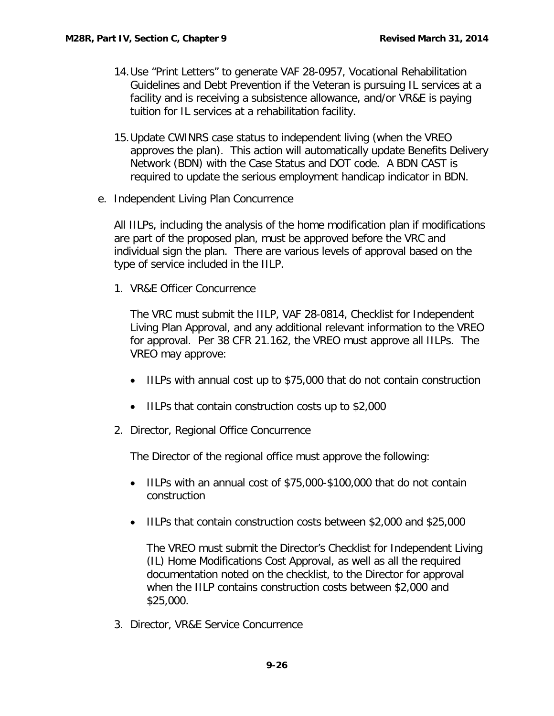- 14.Use "Print Letters" to generate VAF 28-0957, Vocational Rehabilitation Guidelines and Debt Prevention if the Veteran is pursuing IL services at a facility and is receiving a subsistence allowance, and/or VR&E is paying tuition for IL services at a rehabilitation facility.
- 15.Update CWINRS case status to independent living (when the VREO approves the plan). This action will automatically update Benefits Delivery Network (BDN) with the Case Status and DOT code. A BDN CAST is required to update the serious employment handicap indicator in BDN.
- <span id="page-27-0"></span>e. Independent Living Plan Concurrence

All IILPs, including the analysis of the home modification plan if modifications are part of the proposed plan, must be approved before the VRC and individual sign the plan. There are various levels of approval based on the type of service included in the IILP.

1. VR&E Officer Concurrence

The VRC must submit the IILP, VAF 28-0814, Checklist for Independent Living Plan Approval, and any additional relevant information to the VREO for approval. Per 38 CFR 21.162, the VREO must approve all IILPs. The VREO may approve:

- IILPs with annual cost up to \$75,000 that do not contain construction
- IILPs that contain construction costs up to \$2,000
- 2. Director, Regional Office Concurrence

The Director of the regional office must approve the following:

- IILPs with an annual cost of \$75,000-\$100,000 that do not contain construction
- IILPs that contain construction costs between \$2,000 and \$25,000

The VREO must submit the Director's Checklist for Independent Living (IL) Home Modifications Cost Approval, as well as all the required documentation noted on the checklist, to the Director for approval when the IILP contains construction costs between \$2,000 and \$25,000.

3. Director, VR&E Service Concurrence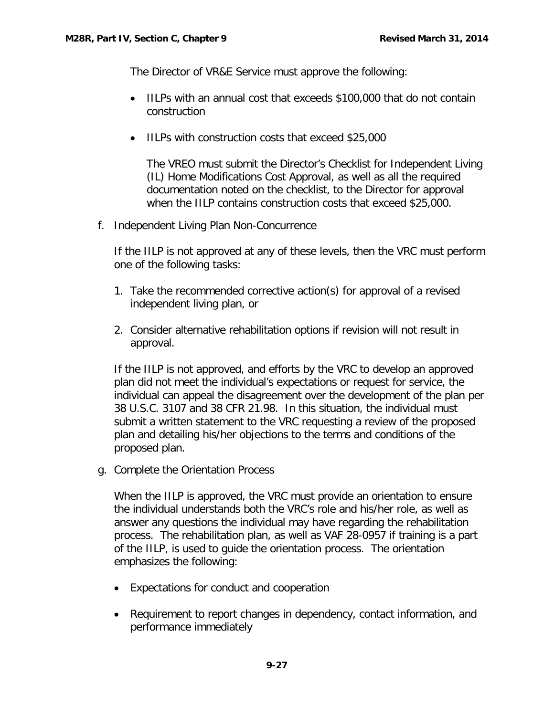The Director of VR&E Service must approve the following:

- IILPs with an annual cost that exceeds \$100,000 that do not contain construction
- IILPs with construction costs that exceed \$25,000

The VREO must submit the Director's Checklist for Independent Living (IL) Home Modifications Cost Approval, as well as all the required documentation noted on the checklist, to the Director for approval when the IILP contains construction costs that exceed \$25,000.

<span id="page-28-0"></span>f. Independent Living Plan Non-Concurrence

If the IILP is not approved at any of these levels, then the VRC must perform one of the following tasks:

- 1. Take the recommended corrective action(s) for approval of a revised independent living plan, or
- 2. Consider alternative rehabilitation options if revision will not result in approval.

If the IILP is not approved, and efforts by the VRC to develop an approved plan did not meet the individual's expectations or request for service, the individual can appeal the disagreement over the development of the plan per 38 U.S.C. 3107 and 38 CFR 21.98. In this situation, the individual must submit a written statement to the VRC requesting a review of the proposed plan and detailing his/her objections to the terms and conditions of the proposed plan.

<span id="page-28-1"></span>g. Complete the Orientation Process

When the IILP is approved, the VRC must provide an orientation to ensure the individual understands both the VRC's role and his/her role, as well as answer any questions the individual may have regarding the rehabilitation process. The rehabilitation plan, as well as VAF 28-0957 if training is a part of the IILP, is used to guide the orientation process. The orientation emphasizes the following:

- Expectations for conduct and cooperation
- Requirement to report changes in dependency, contact information, and performance immediately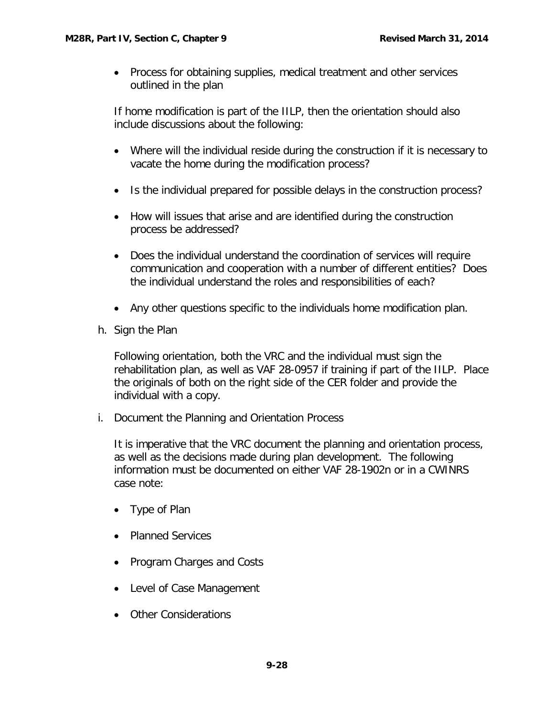• Process for obtaining supplies, medical treatment and other services outlined in the plan

If home modification is part of the IILP, then the orientation should also include discussions about the following:

- Where will the individual reside during the construction if it is necessary to vacate the home during the modification process?
- Is the individual prepared for possible delays in the construction process?
- How will issues that arise and are identified during the construction process be addressed?
- Does the individual understand the coordination of services will require communication and cooperation with a number of different entities? Does the individual understand the roles and responsibilities of each?
- Any other questions specific to the individuals home modification plan.
- <span id="page-29-0"></span>h. Sign the Plan

Following orientation, both the VRC and the individual must sign the rehabilitation plan, as well as VAF 28-0957 if training if part of the IILP. Place the originals of both on the right side of the CER folder and provide the individual with a copy.

<span id="page-29-1"></span>i. Document the Planning and Orientation Process

It is imperative that the VRC document the planning and orientation process, as well as the decisions made during plan development. The following information must be documented on either VAF 28-1902n or in a CWINRS case note:

- Type of Plan
- Planned Services
- Program Charges and Costs
- Level of Case Management
- Other Considerations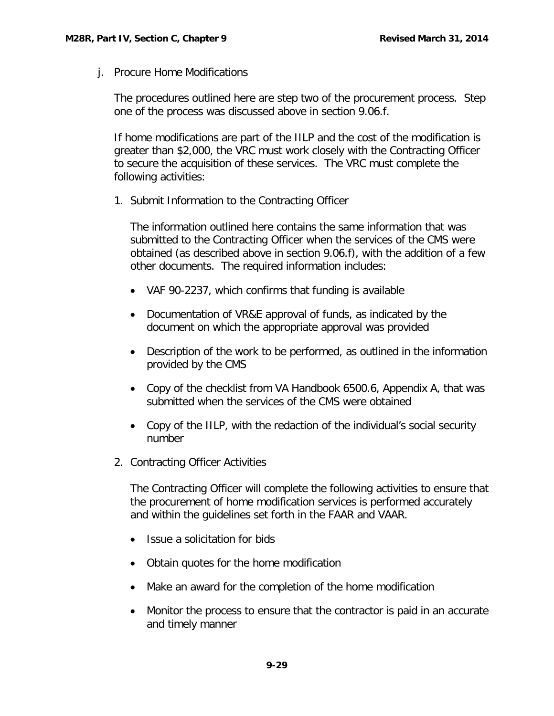<span id="page-30-0"></span>j. Procure Home Modifications

The procedures outlined here are step two of the procurement process. Step one of the process was discussed above in section 9.06.f.

If home modifications are part of the IILP and the cost of the modification is greater than \$2,000, the VRC must work closely with the Contracting Officer to secure the acquisition of these services. The VRC must complete the following activities:

1. Submit Information to the Contracting Officer

The information outlined here contains the same information that was submitted to the Contracting Officer when the services of the CMS were obtained (as described above in section 9.06.f), with the addition of a few other documents. The required information includes:

- VAF 90-2237, which confirms that funding is available
- Documentation of VR&E approval of funds, as indicated by the document on which the appropriate approval was provided
- Description of the work to be performed, as outlined in the information provided by the CMS
- Copy of the checklist from VA Handbook 6500.6, Appendix A, that was submitted when the services of the CMS were obtained
- Copy of the IILP, with the redaction of the individual's social security number
- 2. Contracting Officer Activities

The Contracting Officer will complete the following activities to ensure that the procurement of home modification services is performed accurately and within the guidelines set forth in the FAAR and VAAR.

- Issue a solicitation for bids
- Obtain quotes for the home modification
- Make an award for the completion of the home modification
- Monitor the process to ensure that the contractor is paid in an accurate and timely manner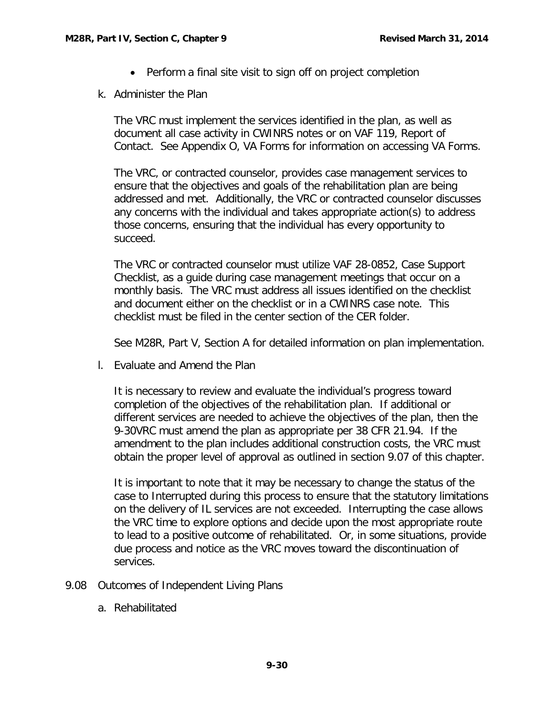- Perform a final site visit to sign off on project completion
- <span id="page-31-0"></span>k. Administer the Plan

The VRC must implement the services identified in the plan, as well as document all case activity in CWINRS notes or on VAF 119, Report of Contact. See Appendix O, VA Forms for information on accessing VA Forms.

The VRC, or contracted counselor, provides case management services to ensure that the objectives and goals of the rehabilitation plan are being addressed and met. Additionally, the VRC or contracted counselor discusses any concerns with the individual and takes appropriate action(s) to address those concerns, ensuring that the individual has every opportunity to succeed.

The VRC or contracted counselor must utilize VAF 28-0852, Case Support Checklist, as a guide during case management meetings that occur on a monthly basis. The VRC must address all issues identified on the checklist and document either on the checklist or in a CWINRS case note. This checklist must be filed in the center section of the CER folder.

See M28R, Part V, Section A for detailed information on plan implementation.

<span id="page-31-1"></span>l. Evaluate and Amend the Plan

It is necessary to review and evaluate the individual's progress toward completion of the objectives of the rehabilitation plan. If additional or different services are needed to achieve the objectives of the plan, then the 9-30VRC must amend the plan as appropriate per 38 CFR 21.94. If the amendment to the plan includes additional construction costs, the VRC must obtain the proper level of approval as outlined in section 9.07 of this chapter.

It is important to note that it may be necessary to change the status of the case to Interrupted during this process to ensure that the statutory limitations on the delivery of IL services are not exceeded. Interrupting the case allows the VRC time to explore options and decide upon the most appropriate route to lead to a positive outcome of rehabilitated. Or, in some situations, provide due process and notice as the VRC moves toward the discontinuation of services.

- <span id="page-31-3"></span><span id="page-31-2"></span>9.08 Outcomes of Independent Living Plans
	- a. Rehabilitated